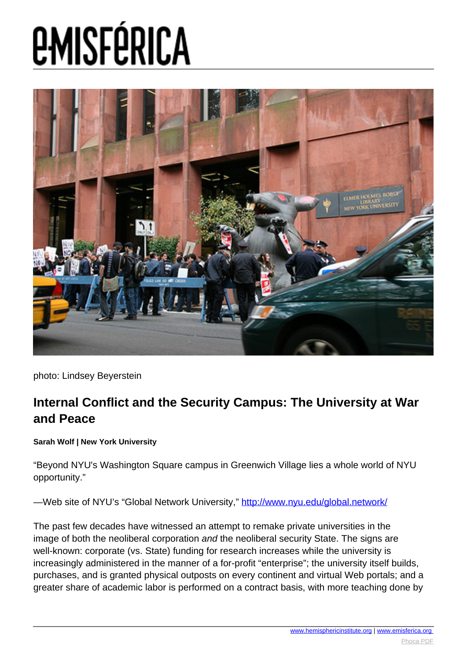

photo: Lindsey Beyerstein

### **Internal Conflict and the Security Campus: The University at War and Peace**

**Sarah Wolf | New York University**

"Beyond NYU's Washington Square campus in Greenwich Village lies a whole world of NYU opportunity."

—Web site of NYU's "Global Network University," <http://www.nyu.edu/global.network/>

The past few decades have witnessed an attempt to remake private universities in the image of both the neoliberal corporation and the neoliberal security State. The signs are well-known: corporate (vs. State) funding for research increases while the university is increasingly administered in the manner of a for-profit "enterprise"; the university itself builds, purchases, and is granted physical outposts on every continent and virtual Web portals; and a greater share of academic labor is performed on a contract basis, with more teaching done by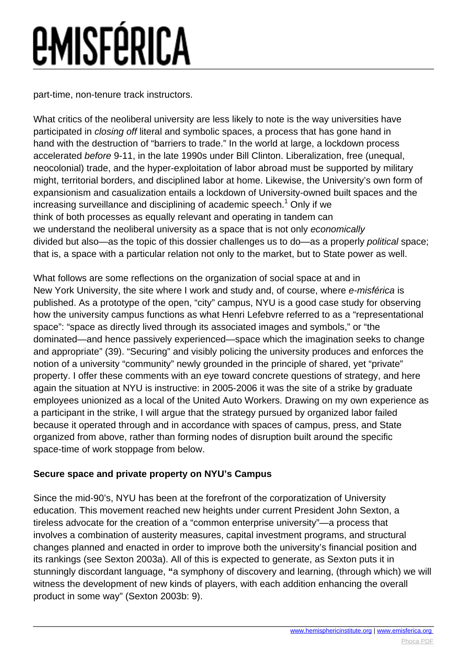part-time, non-tenure track instructors.

What critics of the neoliberal university are less likely to note is the way universities have participated in closing off literal and symbolic spaces, a process that has gone hand in hand with the destruction of "barriers to trade." In the world at large, a lockdown process accelerated before 9-11, in the late 1990s under Bill Clinton. Liberalization, free (unequal, neocolonial) trade, and the hyper-exploitation of labor abroad must be supported by military might, territorial borders, and disciplined labor at home. Likewise, the University's own form of expansionism and casualization entails a lockdown of University-owned built spaces and the increasing surveillance and disciplining of academic speech.<sup>1</sup> Only if we think of both processes as equally relevant and operating in tandem can we understand the neoliberal university as a space that is not only economically divided but also—as the topic of this dossier challenges us to do—as a properly political space; that is, a space with a particular relation not only to the market, but to State power as well.

What follows are some reflections on the organization of social space at and in New York University, the site where I work and study and, of course, where e-misférica is published. As a prototype of the open, "city" campus, NYU is a good case study for observing how the university campus functions as what Henri Lefebvre referred to as a "representational space": "space as directly lived through its associated images and symbols," or "the dominated—and hence passively experienced—space which the imagination seeks to change and appropriate" (39). "Securing" and visibly policing the university produces and enforces the notion of a university "community" newly grounded in the principle of shared, yet "private" property. I offer these comments with an eye toward concrete questions of strategy, and here again the situation at NYU is instructive: in 2005-2006 it was the site of a strike by graduate employees unionized as a local of the United Auto Workers. Drawing on my own experience as a participant in the strike, I will argue that the strategy pursued by organized labor failed because it operated through and in accordance with spaces of campus, press, and State organized from above, rather than forming nodes of disruption built around the specific space-time of work stoppage from below.

### **Secure space and private property on NYU's Campus**

Since the mid-90's, NYU has been at the forefront of the corporatization of University education. This movement reached new heights under current President John Sexton, a tireless advocate for the creation of a "common enterprise university"—a process that involves a combination of austerity measures, capital investment programs, and structural changes planned and enacted in order to improve both the university's financial position and its rankings (see Sexton 2003a). All of this is expected to generate, as Sexton puts it in stunningly discordant language, **"**a symphony of discovery and learning, (through which) we will witness the development of new kinds of players, with each addition enhancing the overall product in some way" (Sexton 2003b: 9).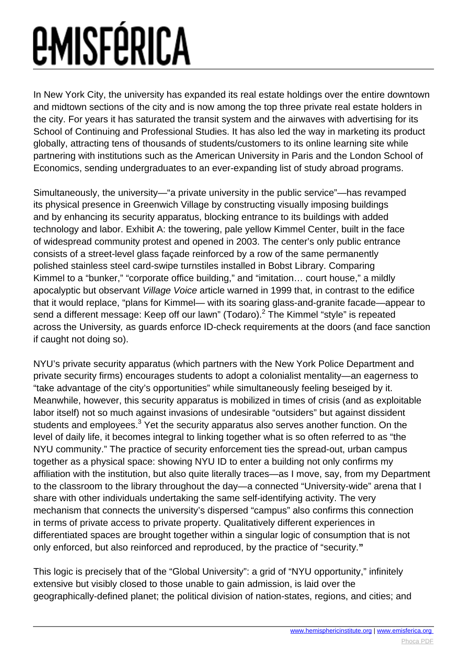In New York City, the university has expanded its real estate holdings over the entire downtown and midtown sections of the city and is now among the top three private real estate holders in the city. For years it has saturated the transit system and the airwaves with advertising for its School of Continuing and Professional Studies. It has also led the way in marketing its product globally, attracting tens of thousands of students/customers to its online learning site while partnering with institutions such as the American University in Paris and the London School of Economics, sending undergraduates to an ever-expanding list of study abroad programs.

Simultaneously, the university—"a private university in the public service"—has revamped its physical presence in Greenwich Village by constructing visually imposing buildings and by enhancing its security apparatus, blocking entrance to its buildings with added technology and labor. Exhibit A: the towering, pale yellow Kimmel Center, built in the face of widespread community protest and opened in 2003. The center's only public entrance consists of a street-level glass façade reinforced by a row of the same permanently polished stainless steel card-swipe turnstiles installed in Bobst Library. Comparing Kimmel to a "bunker," "corporate office building," and "imitation… court house," a mildly apocalyptic but observant Village Voice article warned in 1999 that, in contrast to the edifice that it would replace, "plans for Kimmel— with its soaring glass-and-granite facade—appear to send a different message: Keep off our lawn" (Todaro). $^2$  The Kimmel "style" is repeated across the University, as guards enforce ID-check requirements at the doors (and face sanction if caught not doing so).

NYU's private security apparatus (which partners with the New York Police Department and private security firms) encourages students to adopt a colonialist mentality—an eagerness to "take advantage of the city's opportunities" while simultaneously feeling beseiged by it. Meanwhile, however, this security apparatus is mobilized in times of crisis (and as exploitable labor itself) not so much against invasions of undesirable "outsiders" but against dissident students and employees. $^3$  Yet the security apparatus also serves another function. On the level of daily life, it becomes integral to linking together what is so often referred to as "the NYU community." The practice of security enforcement ties the spread-out, urban campus together as a physical space: showing NYU ID to enter a building not only confirms my affiliation with the institution, but also quite literally traces—as I move, say, from my Department to the classroom to the library throughout the day—a connected "University-wide" arena that I share with other individuals undertaking the same self-identifying activity. The very mechanism that connects the university's dispersed "campus" also confirms this connection in terms of private access to private property. Qualitatively different experiences in differentiated spaces are brought together within a singular logic of consumption that is not only enforced, but also reinforced and reproduced, by the practice of "security.**"** 

This logic is precisely that of the "Global University": a grid of "NYU opportunity," infinitely extensive but visibly closed to those unable to gain admission, is laid over the geographically-defined planet; the political division of nation-states, regions, and cities; and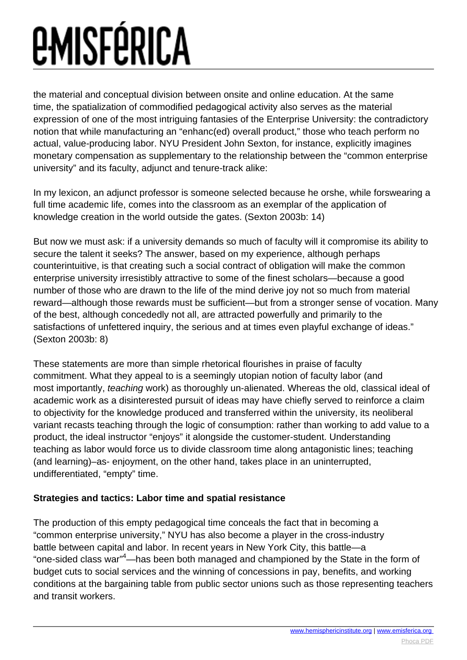the material and conceptual division between onsite and online education. At the same time, the spatialization of commodified pedagogical activity also serves as the material expression of one of the most intriguing fantasies of the Enterprise University: the contradictory notion that while manufacturing an "enhanc(ed) overall product," those who teach perform no actual, value-producing labor. NYU President John Sexton, for instance, explicitly imagines monetary compensation as supplementary to the relationship between the "common enterprise university" and its faculty, adjunct and tenure-track alike:

In my lexicon, an adjunct professor is someone selected because he orshe, while forswearing a full time academic life, comes into the classroom as an exemplar of the application of knowledge creation in the world outside the gates. (Sexton 2003b: 14)

But now we must ask: if a university demands so much of faculty will it compromise its ability to secure the talent it seeks? The answer, based on my experience, although perhaps counterintuitive, is that creating such a social contract of obligation will make the common enterprise university irresistibly attractive to some of the finest scholars—because a good number of those who are drawn to the life of the mind derive joy not so much from material reward—although those rewards must be sufficient—but from a stronger sense of vocation. Many of the best, although concededly not all, are attracted powerfully and primarily to the satisfactions of unfettered inquiry, the serious and at times even playful exchange of ideas." (Sexton 2003b: 8)

These statements are more than simple rhetorical flourishes in praise of faculty commitment. What they appeal to is a seemingly utopian notion of faculty labor (and most importantly, teaching work) as thoroughly un-alienated. Whereas the old, classical ideal of academic work as a disinterested pursuit of ideas may have chiefly served to reinforce a claim to objectivity for the knowledge produced and transferred within the university, its neoliberal variant recasts teaching through the logic of consumption: rather than working to add value to a product, the ideal instructor "enjoys" it alongside the customer-student. Understanding teaching as labor would force us to divide classroom time along antagonistic lines; teaching (and learning)–as- enjoyment, on the other hand, takes place in an uninterrupted, undifferentiated, "empty" time.

### **Strategies and tactics: Labor time and spatial resistance**

The production of this empty pedagogical time conceals the fact that in becoming a "common enterprise university," NYU has also become a player in the cross-industry battle between capital and labor. In recent years in New York City, this battle—a "one-sided class war"<sup>4</sup>—has been both managed and championed by the State in the form of budget cuts to social services and the winning of concessions in pay, benefits, and working conditions at the bargaining table from public sector unions such as those representing teachers and transit workers.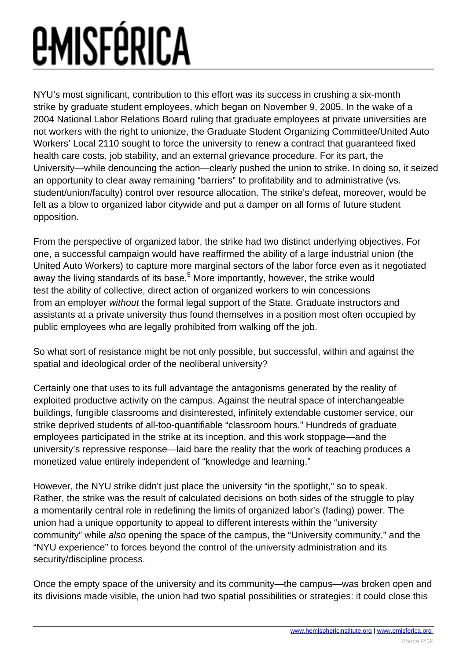NYU's most significant, contribution to this effort was its success in crushing a six-month strike by graduate student employees, which began on November 9, 2005. In the wake of a 2004 National Labor Relations Board ruling that graduate employees at private universities are not workers with the right to unionize, the Graduate Student Organizing Committee/United Auto Workers' Local 2110 sought to force the university to renew a contract that guaranteed fixed health care costs, job stability, and an external grievance procedure. For its part, the University—while denouncing the action—clearly pushed the union to strike. In doing so, it seized an opportunity to clear away remaining "barriers" to profitability and to administrative (vs. student/union/faculty) control over resource allocation. The strike's defeat, moreover, would be felt as a blow to organized labor citywide and put a damper on all forms of future student opposition.

From the perspective of organized labor, the strike had two distinct underlying objectives. For one, a successful campaign would have reaffirmed the ability of a large industrial union (the United Auto Workers) to capture more marginal sectors of the labor force even as it negotiated away the living standards of its base.<sup>5</sup> More importantly, however, the strike would test the ability of collective, direct action of organized workers to win concessions from an employer without the formal legal support of the State. Graduate instructors and assistants at a private university thus found themselves in a position most often occupied by public employees who are legally prohibited from walking off the job.

So what sort of resistance might be not only possible, but successful, within and against the spatial and ideological order of the neoliberal university?

Certainly one that uses to its full advantage the antagonisms generated by the reality of exploited productive activity on the campus. Against the neutral space of interchangeable buildings, fungible classrooms and disinterested, infinitely extendable customer service, our strike deprived students of all-too-quantifiable "classroom hours." Hundreds of graduate employees participated in the strike at its inception, and this work stoppage—and the university's repressive response—laid bare the reality that the work of teaching produces a monetized value entirely independent of "knowledge and learning."

However, the NYU strike didn't just place the university "in the spotlight," so to speak. Rather, the strike was the result of calculated decisions on both sides of the struggle to play a momentarily central role in redefining the limits of organized labor's (fading) power. The union had a unique opportunity to appeal to different interests within the "university community" while also opening the space of the campus, the "University community," and the "NYU experience" to forces beyond the control of the university administration and its security/discipline process.

Once the empty space of the university and its community—the campus—was broken open and its divisions made visible, the union had two spatial possibilities or strategies: it could close this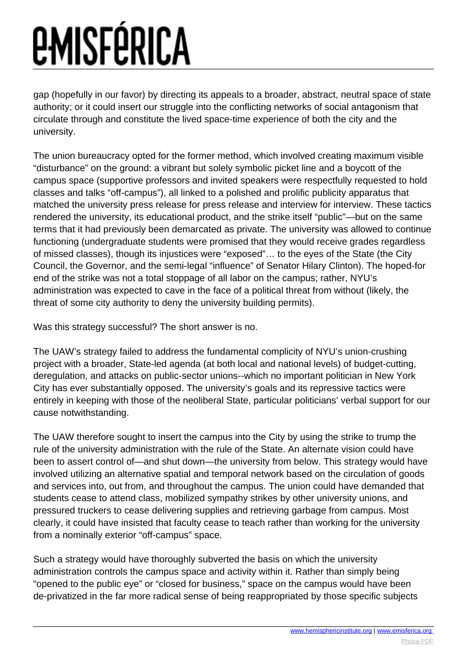gap (hopefully in our favor) by directing its appeals to a broader, abstract, neutral space of state authority; or it could insert our struggle into the conflicting networks of social antagonism that circulate through and constitute the lived space-time experience of both the city and the university.

The union bureaucracy opted for the former method, which involved creating maximum visible "disturbance" on the ground: a vibrant but solely symbolic picket line and a boycott of the campus space (supportive professors and invited speakers were respectfully requested to hold classes and talks "off-campus"), all linked to a polished and prolific publicity apparatus that matched the university press release for press release and interview for interview. These tactics rendered the university, its educational product, and the strike itself "public"—but on the same terms that it had previously been demarcated as private. The university was allowed to continue functioning (undergraduate students were promised that they would receive grades regardless of missed classes), though its injustices were "exposed"… to the eyes of the State (the City Council, the Governor, and the semi-legal "influence" of Senator Hilary Clinton). The hoped-for end of the strike was not a total stoppage of all labor on the campus; rather, NYU's administration was expected to cave in the face of a political threat from without (likely, the threat of some city authority to deny the university building permits).

Was this strategy successful? The short answer is no.

The UAW's strategy failed to address the fundamental complicity of NYU's union-crushing project with a broader, State-led agenda (at both local and national levels) of budget-cutting, deregulation, and attacks on public-sector unions--which no important politician in New York City has ever substantially opposed. The university's goals and its repressive tactics were entirely in keeping with those of the neoliberal State, particular politicians' verbal support for our cause notwithstanding.

The UAW therefore sought to insert the campus into the City by using the strike to trump the rule of the university administration with the rule of the State. An alternate vision could have been to assert control of—and shut down—the university from below. This strategy would have involved utilizing an alternative spatial and temporal network based on the circulation of goods and services into, out from, and throughout the campus. The union could have demanded that students cease to attend class, mobilized sympathy strikes by other university unions, and pressured truckers to cease delivering supplies and retrieving garbage from campus. Most clearly, it could have insisted that faculty cease to teach rather than working for the university from a nominally exterior "off-campus" space.

Such a strategy would have thoroughly subverted the basis on which the university administration controls the campus space and activity within it. Rather than simply being "opened to the public eye" or "closed for business," space on the campus would have been de-privatized in the far more radical sense of being reappropriated by those specific subjects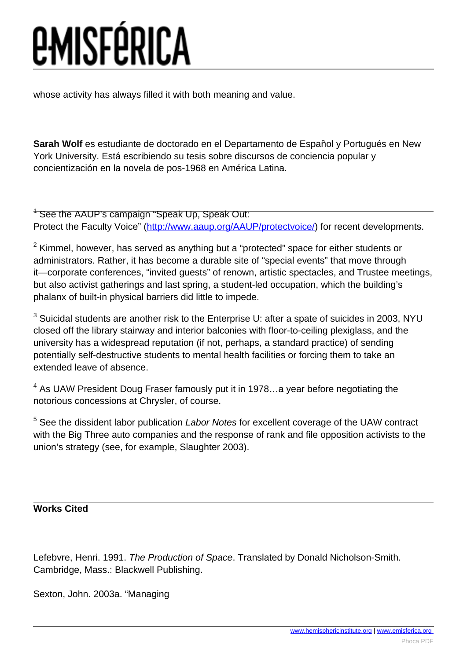whose activity has always filled it with both meaning and value.

**Sarah Wolf** es estudiante de doctorado en el Departamento de Español y Portugués en New York University. Está escribiendo su tesis sobre discursos de conciencia popular y concientización en la novela de pos-1968 en América Latina.

<sup>1</sup> See the AAUP's campaign "Speak Up, Speak Out: Protect the Faculty Voice" [\(http://www.aaup.org/AAUP/protectvoice/](http://www.aaup.org/AAUP/protectvoice/)) for recent developments.

 $2$  Kimmel, however, has served as anything but a "protected" space for either students or administrators. Rather, it has become a durable site of "special events" that move through it—corporate conferences, "invited guests" of renown, artistic spectacles, and Trustee meetings, but also activist gatherings and last spring, a student-led occupation, which the building's phalanx of built-in physical barriers did little to impede.

 $^3$  Suicidal students are another risk to the Enterprise U: after a spate of suicides in 2003, NYU closed off the library stairway and interior balconies with floor-to-ceiling plexiglass, and the university has a widespread reputation (if not, perhaps, a standard practice) of sending potentially self-destructive students to mental health facilities or forcing them to take an extended leave of absence.

 $<sup>4</sup>$  As UAW President Doug Fraser famously put it in 1978...a year before negotiating the</sup> notorious concessions at Chrysler, of course.

<sup>5</sup> See the dissident labor publication Labor Notes for excellent coverage of the UAW contract with the Big Three auto companies and the response of rank and file opposition activists to the union's strategy (see, for example, Slaughter 2003).

### **Works Cited**

Lefebvre, Henri. 1991. The Production of Space. Translated by Donald Nicholson-Smith. Cambridge, Mass.: Blackwell Publishing.

Sexton, John. 2003a. "Managing